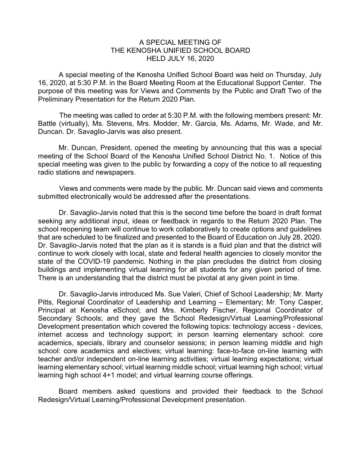## A SPECIAL MEETING OF THE KENOSHA UNIFIED SCHOOL BOARD HELD JULY 16, 2020

A special meeting of the Kenosha Unified School Board was held on Thursday, July 16, 2020, at 5:30 P.M. in the Board Meeting Room at the Educational Support Center. The purpose of this meeting was for Views and Comments by the Public and Draft Two of the Preliminary Presentation for the Return 2020 Plan.

The meeting was called to order at 5:30 P.M. with the following members present: Mr. Battle (virtually), Ms. Stevens, Mrs. Modder, Mr. Garcia, Ms. Adams, Mr. Wade, and Mr. Duncan. Dr. Savaglio-Jarvis was also present.

Mr. Duncan, President, opened the meeting by announcing that this was a special meeting of the School Board of the Kenosha Unified School District No. 1. Notice of this special meeting was given to the public by forwarding a copy of the notice to all requesting radio stations and newspapers.

Views and comments were made by the public. Mr. Duncan said views and comments submitted electronically would be addressed after the presentations.

Dr. Savaglio-Jarvis noted that this is the second time before the board in draft format seeking any additional input, ideas or feedback in regards to the Return 2020 Plan. The school reopening team will continue to work collaboratively to create options and guidelines that are scheduled to be finalized and presented to the Board of Education on July 28, 2020. Dr. Savaglio-Jarvis noted that the plan as it is stands is a fluid plan and that the district will continue to work closely with local, state and federal health agencies to closely monitor the state of the COVID-19 pandemic. Nothing in the plan precludes the district from closing buildings and implementing virtual learning for all students for any given period of time. There is an understanding that the district must be pivotal at any given point in time.

Dr. Savaglio-Jarvis introduced Ms. Sue Valeri, Chief of School Leadership; Mr. Marty Pitts, Regional Coordinator of Leadership and Learning – Elementary; Mr. Tony Casper, Principal at Kenosha eSchool; and Mrs. Kimberly Fischer, Regional Coordinator of Secondary Schools; and they gave the School Redesign/Virtual Learning/Professional Development presentation which covered the following topics: technology access - devices, internet access and technology support; in person learning elementary school: core academics, specials, library and counselor sessions; in person learning middle and high school: core academics and electives; virtual learning: face-to-face on-line learning with teacher and/or independent on-line learning activities; virtual learning expectations; virtual learning elementary school; virtual learning middle school; virtual learning high school; virtual learning high school 4+1 model; and virtual learning course offerings.

Board members asked questions and provided their feedback to the School Redesign/Virtual Learning/Professional Development presentation.